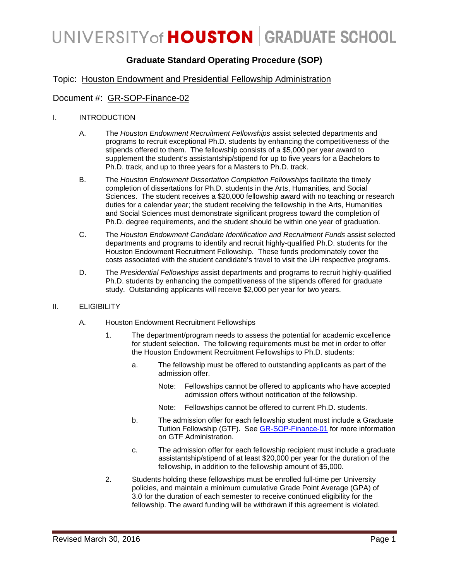## **Graduate Standard Operating Procedure (SOP)**

### Topic: Houston Endowment and Presidential Fellowship Administration

### Document #: GR-SOP-Finance-02

#### I. INTRODUCTION

- A. The *Houston Endowment Recruitment Fellowships* assist selected departments and programs to recruit exceptional Ph.D. students by enhancing the competitiveness of the stipends offered to them. The fellowship consists of a \$5,000 per year award to supplement the student's assistantship/stipend for up to five years for a Bachelors to Ph.D. track, and up to three years for a Masters to Ph.D. track.
- B. The *Houston Endowment Dissertation Completion Fellowships* facilitate the timely completion of dissertations for Ph.D. students in the Arts, Humanities, and Social Sciences. The student receives a \$20,000 fellowship award with no teaching or research duties for a calendar year; the student receiving the fellowship in the Arts, Humanities and Social Sciences must demonstrate significant progress toward the completion of Ph.D. degree requirements, and the student should be within one year of graduation.
- C. The *Houston Endowment Candidate Identification and Recruitment Funds* assist selected departments and programs to identify and recruit highly-qualified Ph.D. students for the Houston Endowment Recruitment Fellowship. These funds predominately cover the costs associated with the student candidate's travel to visit the UH respective programs.
- D. The *Presidential Fellowships* assist departments and programs to recruit highly-qualified Ph.D. students by enhancing the competitiveness of the stipends offered for graduate study. Outstanding applicants will receive \$2,000 per year for two years.

#### II. ELIGIBILITY

- A. Houston Endowment Recruitment Fellowships
	- 1. The department/program needs to assess the potential for academic excellence for student selection. The following requirements must be met in order to offer the Houston Endowment Recruitment Fellowships to Ph.D. students:
		- a. The fellowship must be offered to outstanding applicants as part of the admission offer.
			- Note: Fellowships cannot be offered to applicants who have accepted admission offers without notification of the fellowship.
			- Note: Fellowships cannot be offered to current Ph.D. students.
		- b. The admission offer for each fellowship student must include a Graduate Tuition Fellowship (GTF). See [GR-SOP-Finance-01](http://www.uh.edu/graduate-school/forms/GTF_SOP.pdf) for more information on GTF Administration.
		- c. The admission offer for each fellowship recipient must include a graduate assistantship/stipend of at least \$20,000 per year for the duration of the fellowship, in addition to the fellowship amount of \$5,000.
	- 2. Students holding these fellowships must be enrolled full-time per University policies, and maintain a minimum cumulative Grade Point Average (GPA) of 3.0 for the duration of each semester to receive continued eligibility for the fellowship. The award funding will be withdrawn if this agreement is violated.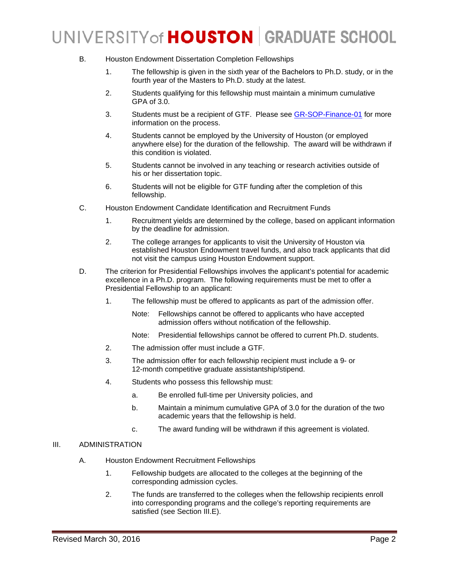- B. Houston Endowment Dissertation Completion Fellowships
	- 1. The fellowship is given in the sixth year of the Bachelors to Ph.D. study, or in the fourth year of the Masters to Ph.D. study at the latest.
	- 2. Students qualifying for this fellowship must maintain a minimum cumulative GPA of 3.0.
	- 3. Students must be a recipient of GTF. Please see [GR-SOP-Finance-01](http://www.uh.edu/graduate-school/forms/GTF_SOP.pdf) for more information on the process.
	- 4. Students cannot be employed by the University of Houston (or employed anywhere else) for the duration of the fellowship. The award will be withdrawn if this condition is violated.
	- 5. Students cannot be involved in any teaching or research activities outside of his or her dissertation topic.
	- 6. Students will not be eligible for GTF funding after the completion of this fellowship.
- C. Houston Endowment Candidate Identification and Recruitment Funds
	- 1. Recruitment yields are determined by the college, based on applicant information by the deadline for admission.
	- 2. The college arranges for applicants to visit the University of Houston via established Houston Endowment travel funds, and also track applicants that did not visit the campus using Houston Endowment support.
- D. The criterion for Presidential Fellowships involves the applicant's potential for academic excellence in a Ph.D. program. The following requirements must be met to offer a Presidential Fellowship to an applicant:
	- 1. The fellowship must be offered to applicants as part of the admission offer.
		- Note: Fellowships cannot be offered to applicants who have accepted admission offers without notification of the fellowship.
		- Note: Presidential fellowships cannot be offered to current Ph.D. students.
	- 2. The admission offer must include a GTF.
	- 3. The admission offer for each fellowship recipient must include a 9- or 12-month competitive graduate assistantship/stipend.
	- 4. Students who possess this fellowship must:
		- a. Be enrolled full-time per University policies, and
		- b. Maintain a minimum cumulative GPA of 3.0 for the duration of the two academic years that the fellowship is held.
		- c. The award funding will be withdrawn if this agreement is violated.

#### III. ADMINISTRATION

- A. Houston Endowment Recruitment Fellowships
	- 1. Fellowship budgets are allocated to the colleges at the beginning of the corresponding admission cycles.
	- 2. The funds are transferred to the colleges when the fellowship recipients enroll into corresponding programs and the college's reporting requirements are satisfied (see Section III[.E\)](#page-2-0).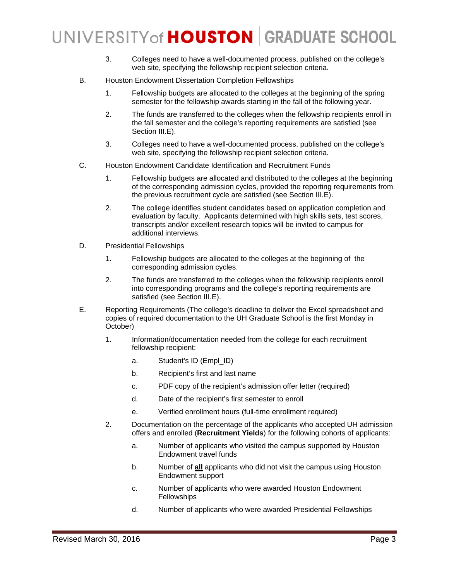- 3. Colleges need to have a well-documented process, published on the college's web site, specifying the fellowship recipient selection criteria.
- B. Houston Endowment Dissertation Completion Fellowships
	- 1. Fellowship budgets are allocated to the colleges at the beginning of the spring semester for the fellowship awards starting in the fall of the following year.
	- 2. The funds are transferred to the colleges when the fellowship recipients enroll in the fall semester and the college's reporting requirements are satisfied (see Section III[.E\)](#page-2-0).
	- 3. Colleges need to have a well-documented process, published on the college's web site, specifying the fellowship recipient selection criteria.
- C. Houston Endowment Candidate Identification and Recruitment Funds
	- 1. Fellowship budgets are allocated and distributed to the colleges at the beginning of the corresponding admission cycles, provided the reporting requirements from the previous recruitment cycle are satisfied (see Section III[.E\)](#page-2-0).
	- 2. The college identifies student candidates based on application completion and evaluation by faculty. Applicants determined with high skills sets, test scores, transcripts and/or excellent research topics will be invited to campus for additional interviews.
- D. Presidential Fellowships
	- 1. Fellowship budgets are allocated to the colleges at the beginning of the corresponding admission cycles.
	- 2. The funds are transferred to the colleges when the fellowship recipients enroll into corresponding programs and the college's reporting requirements are satisfied (see Section III[.E\)](#page-2-0).
- <span id="page-2-0"></span>E. Reporting Requirements (The college's deadline to deliver the Excel spreadsheet and copies of required documentation to the UH Graduate School is the first Monday in October)
	- 1. Information/documentation needed from the college for each recruitment fellowship recipient:
		- a. Student's ID (Empl\_ID)
		- b. Recipient's first and last name
		- c. PDF copy of the recipient's admission offer letter (required)
		- d. Date of the recipient's first semester to enroll
		- e. Verified enrollment hours (full-time enrollment required)
	- 2. Documentation on the percentage of the applicants who accepted UH admission offers and enrolled (**Recruitment Yields**) for the following cohorts of applicants:
		- a. Number of applicants who visited the campus supported by Houston Endowment travel funds
		- b. Number of **all** applicants who did not visit the campus using Houston Endowment support
		- c. Number of applicants who were awarded Houston Endowment **Fellowships**
		- d. Number of applicants who were awarded Presidential Fellowships